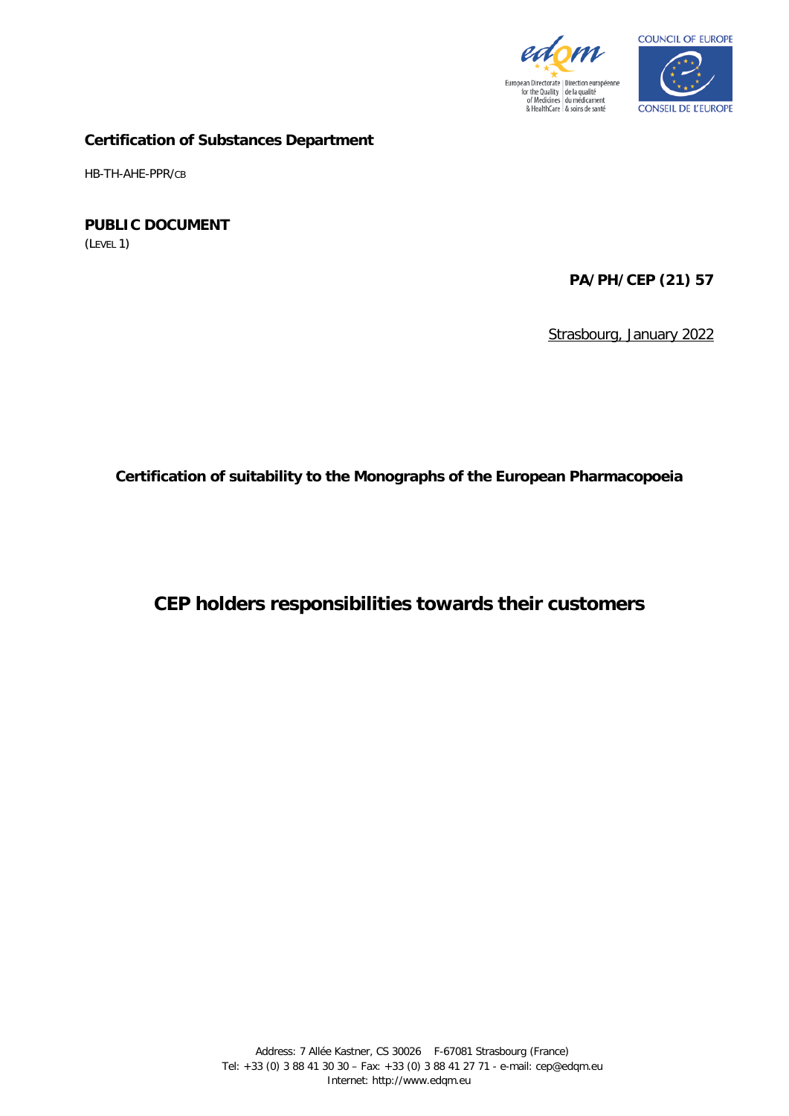



#### **Certification of Substances Department**

HB-TH-AHE-PPR/CB

# **PUBLIC DOCUMENT**

(LEVEL 1)

# **PA/PH/CEP (21) 57**

Strasbourg, January 2022

**Certification of suitability to the Monographs of the European Pharmacopoeia**

**CEP holders responsibilities towards their customers**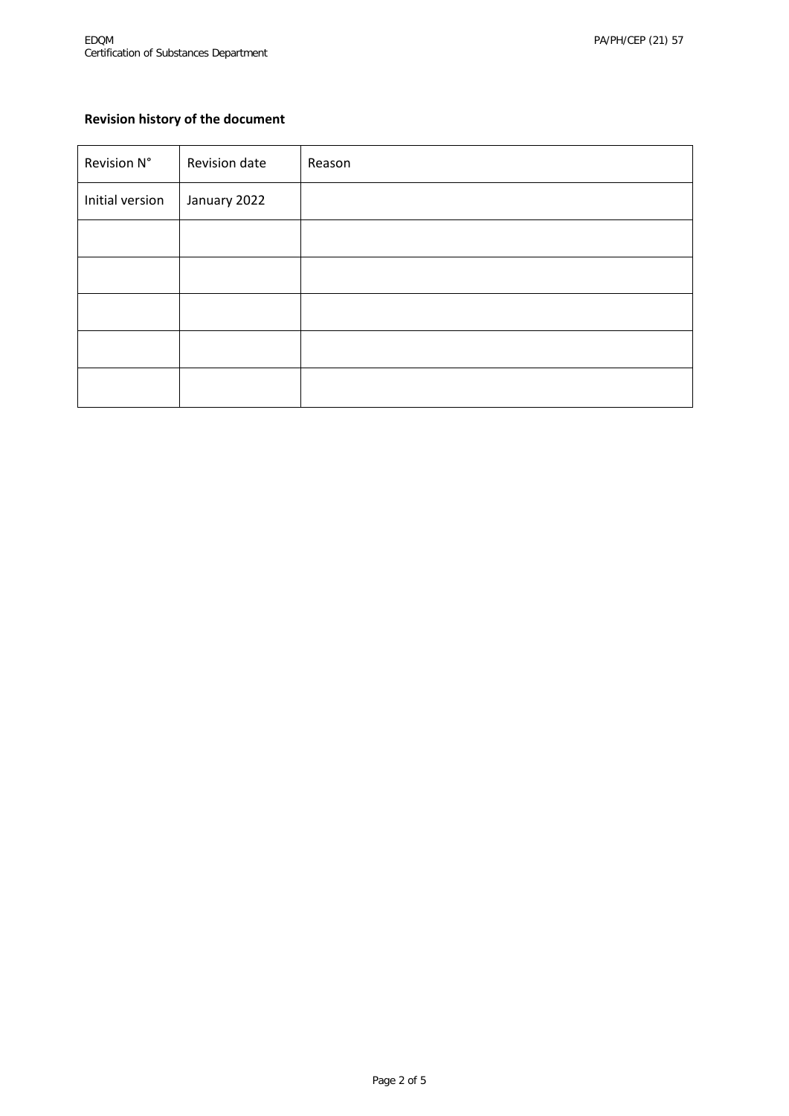# **Revision history of the document**

| Revision N°     | Revision date | Reason |
|-----------------|---------------|--------|
| Initial version | January 2022  |        |
|                 |               |        |
|                 |               |        |
|                 |               |        |
|                 |               |        |
|                 |               |        |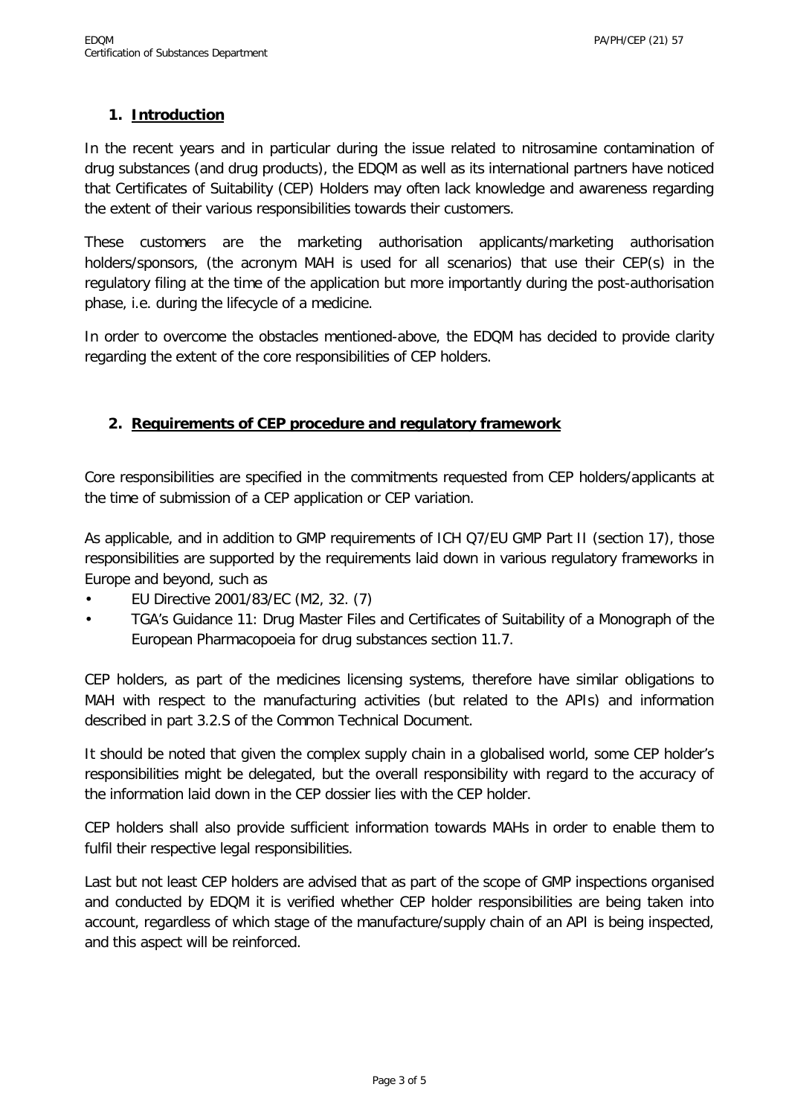### **1. Introduction**

In the recent years and in particular during the issue related to nitrosamine contamination of drug substances (and drug products), the EDQM as well as its international partners have noticed that Certificates of Suitability (CEP) Holders may often lack knowledge and awareness regarding the extent of their various responsibilities towards their customers.

These customers are the marketing authorisation applicants/marketing authorisation holders/sponsors, (the acronym MAH is used for all scenarios) that use their CEP(s) in the regulatory filing at the time of the application but more importantly during the post-authorisation phase, i.e. during the lifecycle of a medicine.

In order to overcome the obstacles mentioned-above, the EDQM has decided to provide clarity regarding the extent of the core responsibilities of CEP holders.

### **2. Requirements of CEP procedure and regulatory framework**

Core responsibilities are specified in the commitments requested from CEP holders/applicants at the time of submission of a CEP application or CEP variation.

As applicable, and in addition to GMP requirements of ICH Q7/EU GMP Part II (section 17), those responsibilities are supported by the requirements laid down in various regulatory frameworks in Europe and beyond, such as

- EU Directive 2001/83/EC (M2, 32. (7)
- TGA's Guidance 11: Drug Master Files and Certificates of Suitability of a Monograph of the European Pharmacopoeia for drug substances section 11.7.

CEP holders, as part of the medicines licensing systems, therefore have similar obligations to MAH with respect to the manufacturing activities (but related to the APIs) and information described in part 3.2.S of the Common Technical Document.

It should be noted that given the complex supply chain in a globalised world, some CEP holder's responsibilities might be delegated, but the overall responsibility with regard to the accuracy of the information laid down in the CEP dossier lies with the CEP holder.

CEP holders shall also provide sufficient information towards MAHs in order to enable them to fulfil their respective legal responsibilities.

Last but not least CEP holders are advised that as part of the scope of GMP inspections organised and conducted by EDQM it is verified whether CEP holder responsibilities are being taken into account, regardless of which stage of the manufacture/supply chain of an API is being inspected, and this aspect will be reinforced.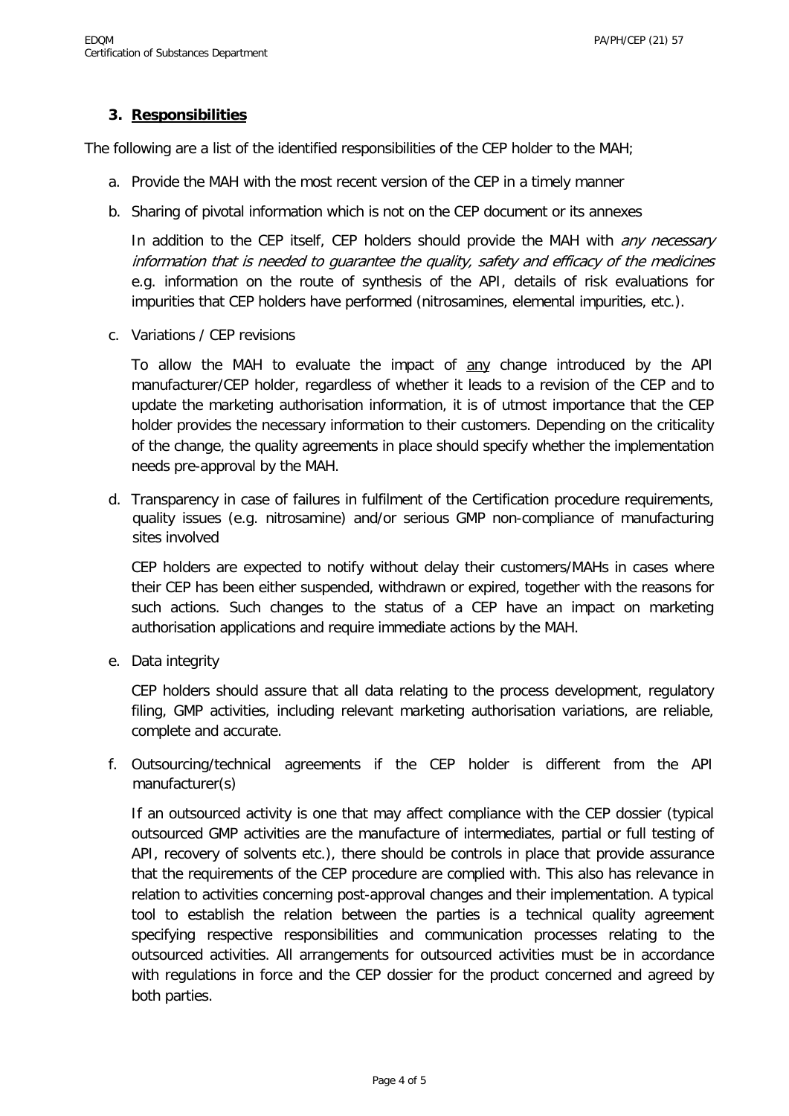#### **3. Responsibilities**

The following are a list of the identified responsibilities of the CEP holder to the MAH;

- a. Provide the MAH with the most recent version of the CEP in a timely manner
- b. Sharing of pivotal information which is not on the CEP document or its annexes

In addition to the CEP itself, CEP holders should provide the MAH with *any necessary* information that is needed to guarantee the quality, safety and efficacy of the medicines e.g. information on the route of synthesis of the API, details of risk evaluations for impurities that CEP holders have performed (nitrosamines, elemental impurities, etc.).

c. Variations / CEP revisions

To allow the MAH to evaluate the impact of any change introduced by the API manufacturer/CEP holder, regardless of whether it leads to a revision of the CEP and to update the marketing authorisation information, it is of utmost importance that the CEP holder provides the necessary information to their customers. Depending on the criticality of the change, the quality agreements in place should specify whether the implementation needs pre-approval by the MAH.

d. Transparency in case of failures in fulfilment of the Certification procedure requirements, quality issues (e.g. nitrosamine) and/or serious GMP non-compliance of manufacturing sites involved

CEP holders are expected to notify without delay their customers/MAHs in cases where their CEP has been either suspended, withdrawn or expired, together with the reasons for such actions. Such changes to the status of a CEP have an impact on marketing authorisation applications and require immediate actions by the MAH.

e. Data integrity

CEP holders should assure that all data relating to the process development, regulatory filing, GMP activities, including relevant marketing authorisation variations, are reliable, complete and accurate.

f. Outsourcing/technical agreements if the CEP holder is different from the API manufacturer(s)

If an outsourced activity is one that may affect compliance with the CEP dossier (typical outsourced GMP activities are the manufacture of intermediates, partial or full testing of API, recovery of solvents etc.), there should be controls in place that provide assurance that the requirements of the CEP procedure are complied with. This also has relevance in relation to activities concerning post-approval changes and their implementation. A typical tool to establish the relation between the parties is a technical quality agreement specifying respective responsibilities and communication processes relating to the outsourced activities. All arrangements for outsourced activities must be in accordance with regulations in force and the CEP dossier for the product concerned and agreed by both parties.